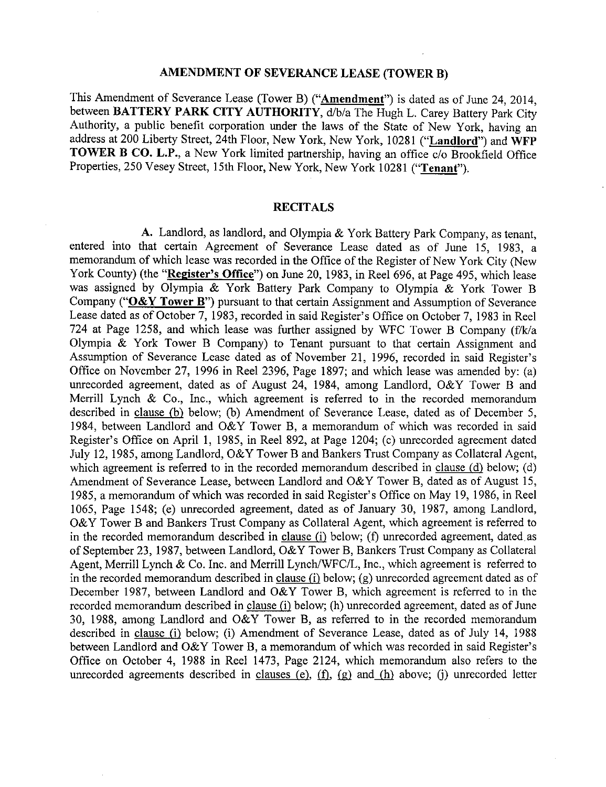#### **AMENDMENT** OF **SEVERANCE LEASE (TOWER B)**

This Amendment of Severance Lease (Tower B) ("**Amendment**") is dated as of June 24, 2014, between BATTERY PARK CITY AUTHORITY, d/b/a The Hugh L. Carey Battery Park City Authority, a public benefit corporation under the laws of the State of New York, having an address at 200 Liberty Street, 24th Floor, New York, New York, 10281 ("Landlord") and WFP TOWER B CO. L.P., a New York limited partnership, having an office c/o Brookfield Office Properties, 250 Vesey Street, 15th Floor, New York, New York 10281 ("Tenant").

## **RECITALS**

**A.** Landlord, as landlord, and Olympia & York Battery **Park** Company, as tenant, entered into that certain Agreement of Severance Lease dated as of **June** 15, 1983, a memorandum of which lease was recorded in the Office of the Register of New York City (New York County) (the "Register's Office") on June 20, 1983, in Reel 696, at Page 495, which lease was assigned by Olympia & York Battery Park Company to Olympia & York Tower B Company (" $O&Y$  Tower B") pursuant to that certain Assignment and Assumption of Severance Lease dated as of October 7, 1983, recorded in said Register's Office on October 7, 1983 in Reel 724 at Page 1258, and which lease was further assigned by WFC Tower B Company (f/k/a Olympia & York Tower B Company) to Tenant pursuant to that certain Assignment and Assumption of Severance Lease dated as of November 21, 1996, recorded in said Register's Office on November 27, 1996 in Reel 2396, Page 1897; and which lease was amended by: (a) unrecorded agreement, dated as of August 24, 1984, among Landlord, O&Y Tower B and Merrill Lynch & Co., Inc., which agreement is referred to in the recorded memorandum described in clause *(b)* below; (b) Amendment of Severance Lease, dated as of December 5, 1984, between Landlord and O&Y Tower B, a memorandum of which was recorded in said Register's Office on April 1, 1985, in Reel 892, at Page 1204; (c) unrecorded agreement dated July 12, 1985, among Landlord, O&Y Tower B and Bankers Trust Company as Collateral *Agent,* which agreement is referred to in the recorded memorandum described in clause *(d)* below; (d) Amendment of Severance Lease, between Landlord and O&Y Tower B, dated as of August 15, 1985, a memorandum of which was recorded in said Register's Office on May 19, 1986, in Reel 1065, Page 1548; (e) unrecorded agreement, dated as of January 30, 1987, among Landlord, *O&Y* Tower B and Bankers Trust Company as Collateral Agent, which agreement is referred to in the recorded memorandum described in clause *6)* below; (f) unrecorded agreement, dated as of September 23, 1987, between Landlord, O&Y Tower B, Bankers Trust Company as Collateral Agent, Merrill Lynch & Co. Inc. and Merrill Lynch/WFC/L, Inc., which agreement is referred to in the recorded memorandum described in clause  $(i)$  below;  $(g)$  unrecorded agreement dated as of December 1987, between Landlord and *O&Y Tower* B, which agreement is referred to in the recorded memorandum described in clause *(i)* below; (h) unrecorded agreement, dated as of June 30, 1988, among Landlord and *O&Y* Tower B, as referred to in the recorded memorandum described in clause *6)* below; (i) Amendment of Severance Lease, dated as of July 14, 1988 between Landlord and O&Y Tower B, a memorandum of which was recorded in said Register's Office on October 4, 1988 in Reel 1473, Page 2124, which memorandum also refers to the unrecorded agreements described in clauses  $(e)$ ,  $(f)$ ,  $(g)$  and  $(h)$  above;  $(i)$  unrecorded letter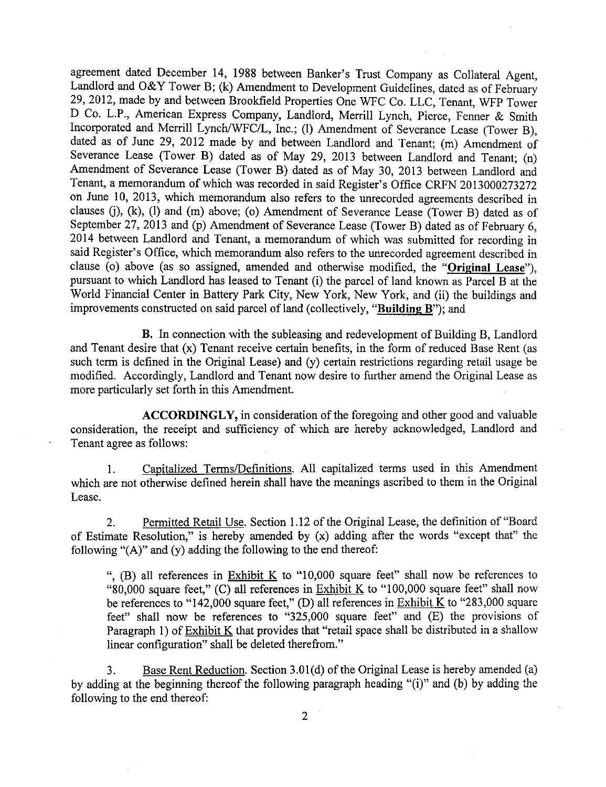agreement dated December 14, 1988 between Banker's Trust Company as Collateral Agent, Landlord and O&Y Tower B; (k) Amendment to Development Guidelines, dated as of February 29, 2012, made by and between Brookfield Properties One WFC Co. LLC, Tenant, WFP Tower D Co. L.P., American Express Company, Landlord, Merrill Lynch, Pierce, Fenner & Smith Incorporated and Merrill Lynch/WFC/L, Inc.; (1) Amendment of Severance Lease (Tower B), dated as of June 29, 2012 made by and between Landlord and Tenant; (m) Amendment of Severance Lease (Tower B) dated as of May 29, 2013 between Landlord and Tenant; (n) Amendment of Severance *Lease* (Tower B) dated as of May 30, 2013 between Landlord and Tenant, a memorandum of which was recorded in said Register's Office CRFN 2013000273272 on June 10, 2013, which memorandum also refers to the unrecorded agreements described in clauses (j), (k), (1) and (m) above; (o) Amendment of Severance Lease (Tower B) dated as of September 27, 2013 and (p) Amendment of Severance Lease (Tower B) dated as of February 6, 2014 between Landlord and Tenant, a memorandum of which was submitted for recording in said Register's Office, which memorandum also refers to the unrecorded agreement described in clause (o) above (as so assigned, amended and otherwise modified, the "Original *Lease"),* pursuant to which *Landlord* has leased to Tenant (i) the parcel of land known as Parcel B at the World Financial Center in Battery Park City, New York, New York, and (ii) the buildings and improvements constructed on said parcel of land (collectively, "Building B"); and

B. In connection with the subleasing and redevelopment of Building B, Landlord and Tenant desire that (x) Tenant receive certain benefits, in the form of reduced Base Rent (as such term is defined in the Original Lease) and (y) certain restrictions regarding retail usage be modified. Accordingly, Landlord and Tenant now desire to further amend the Original Lease as more particularly set forth in this Amendment.

ACCORDINGLY, in consideration of the foregoing and other good and valuable consideration, the receipt and sufficiency of which are hereby acknowledged, Landlord and Tenant agree as follows:

1. Capitalized Terms/Definitions. All capitalized terms used in this Amendment which are not otherwise defined herein shall have the meanings ascribed to them in the Original Lease.

2. Permitted Retail Use. Section 1.12 of the Original Lease, the definition of"Board of Estimate Resolution," is hereby amended by (x) adding after the words "except that" the following "(A)" and (y) adding the following to the end thereof:

", (B) all references in Exhibit K to "10,000 square feet" shall now be references to "80,000 square feet," (C) all references in Exhibit K to "100,000 square feet" shall now be references to "142,000 square feet," (D) all references in Exhibit K to "283,000 square feet" shall now be references to "325,000 square feet" and (E) the provisions of Paragraph 1) of Exhibit K that provides that "retail space shall be distributed in a shallow linear configuration" shall be deleted therefrom."

3. Base Rent Reduction. Section 3.01(d) of the Original Lease is hereby amended (a) by adding at the beginning thereof the following paragraph heading "(i)" and (b) by adding the following to the end thereof: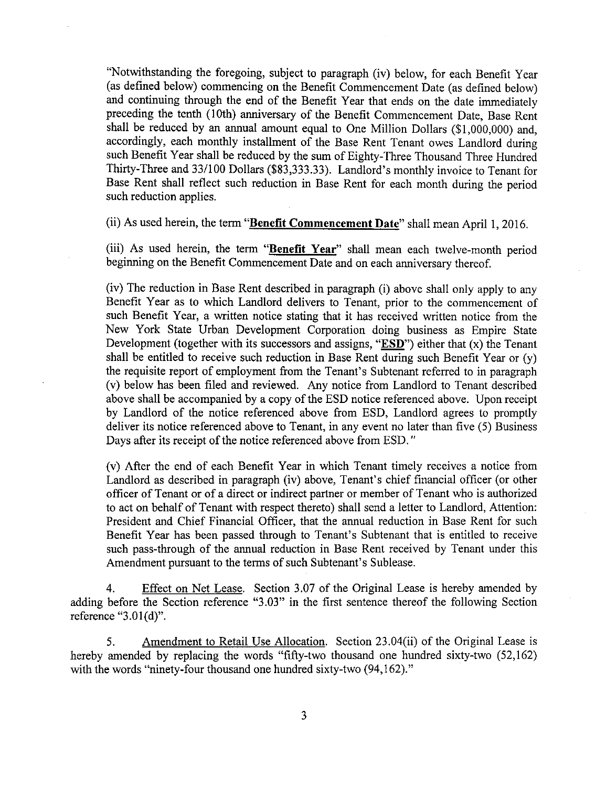"Notwithstanding the foregoing, subject to paragraph (iv) below, for each Benefit Year (as defined below) commencing on the Benefit Commencement Date (as defined below) and continuing through the end of the Benefit Year that ends on the date immediately preceding the tenth (10th) anniversary of the Benefit Commencement Date, Base Rent shall be reduced by an annual amount equal to One Million Dollars ( $$1,000,000$ ) and, accordingly, each monthly installment of the Base Rent Tenant owes Landlord during such Benefit Year shall be reduced by the sum of Eighty-Three Thousand Three Hundred Thirty-Three and 33/100 Dollars (\$83,333.33). Landlord's monthly invoice to Tenant for Base Rent shall reflect such reduction in Base Rent for each month during the period such reduction applies.

(ii) As used herein, the term "Benefit Commencement Date" shall mean April 1, 2016.

(iii) As used herein, the **term** "Benefit Year" shall mean each twelve-month period beginning **on the Benefit Commencement Date** and **on each anniversary** thereof.

(iv) The reduction in Base Rent described in paragraph (i) above shall only apply to any Benefit Year as to which Landlord delivers to Tenant, prior to the commencement of such Benefit Year, a written notice stating that it has received written notice from the New York State Urban Development Corporation doing business as Empire State Development (together with its successors and assigns, " $ESD$ ") either that  $(x)$  the Tenant shall be entitled to receive such reduction in Base Rent during such Benefit Year or (y) the requisite report of employment from the Tenant's Subtenant referred to in paragraph (v) below has been filed and reviewed. Any notice from Landlord to Tenant described above shall be accompanied by a copy of the ESD notice referenced above. Upon receipt by Landlord of the notice referenced above from ESD, Landlord agrees to promptly deliver its notice referenced above to Tenant, in any event no later than five (5) Business Days after its receipt of the notice referenced above from ESD."

(v) **After** the end of each Benefit Year in which Tenant timely receives a notice from Landlord as described in paragraph (iv) above, Tenant's chief financial officer (or other officer of Tenant or of a direct or indirect partner or member of Tenant who is authorized to act on behalf of Tenant with respect thereto) shall send a letter to Landlord, Attention: President and Chief Financial Officer, that the annual reduction in Base Rent for such Benefit Year has been passed through to Tenant's Subtenant that is entitled to receive such pass-through of the annual reduction in Base Rent received by Tenant under this Amendment pursuant to the terms of such Subtenant's Sublease.

4. Effect on Net Lease. Section 3.07 of the Original Lease is hereby amended by adding before the Section reference "3.03" in the first sentence thereof the following Section reference "3.01(d)".

5. Amendment to Retail Use Allocation. Section 23.04(ii) of the Original Lease is hereby amended by replacing the words "fifty-two thousand one hundred sixty-two (52,162) with the words "ninety-four thousand one hundred sixty-two (94,162)."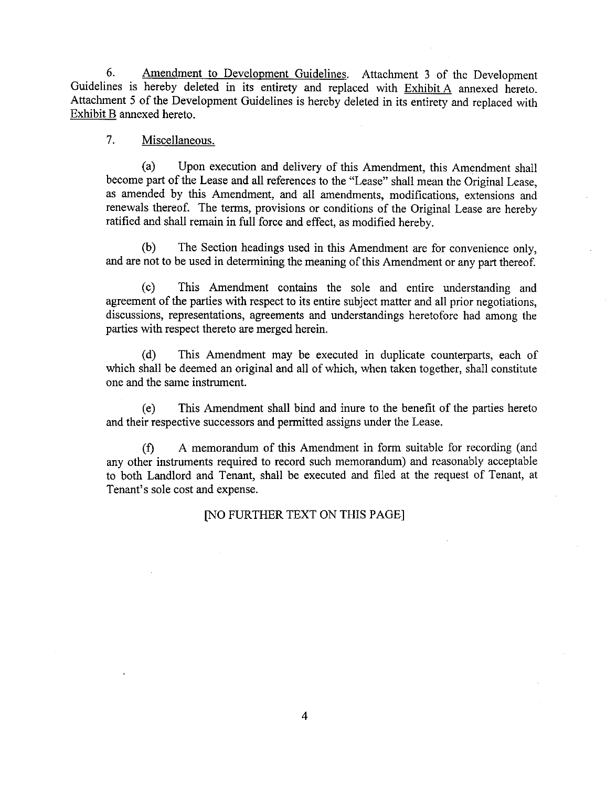6. Amendment to Development Guidelines. Attachment 3 of the Development Guidelines is hereby deleted in its entirety and replaced with Exhibit A annexed hereto. Attachment 5 of the Development Guidelines is hereby deleted in its entirety and replaced with Exhibit B annexed hereto.

### 7. Miscellaneous.

(a) Upon execution and delivery of this Amendment, this Amendment shall become part of the Lease and all references to the "Lease" shall mean the Original Lease, as amended by this Amendment, and all amendments, modifications, extensions and renewals thereof. The terms, provisions or conditions of the *Original* Lease are hereby ratified and shall remain in full force and effect, as modified hereby.

(b) The Section headings used in this Amendment are for convenience only, and are not to be used in determining the meaning of this Amendment or any part thereof.

(c) This Amendment contains the sole and entire understanding and agreement of the parties with respect to its entire subject matter and all prior negotiations, discussions, representations, agreements and understandings heretofore had among the parties with respect thereto are merged herein.

(d) This Amendment may be executed in duplicate counterparts, each of which shall be deemed an original and all of which, when taken together, shall constitute one and the same instrument.

(e) This Amendment shall bind and inure to the benefit of the parties hereto and their respective successors and permitted assigns under the Lease.

(f) A memorandum of this Amendment in form suitable for recording (and any other instruments required to record such memorandum) and reasonably acceptable to both Landlord and Tenant, shall be executed and filed at the request of Tenant, at Tenant's sole cost and expense.

[NO FURTHER TEXT ON THIS PAGE]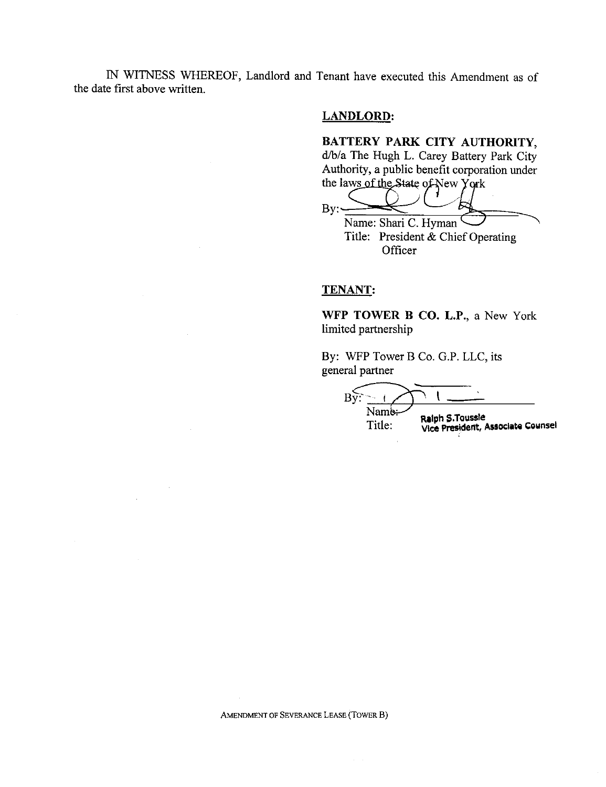IN WITNESS WHEREOF, Landlord and Tenant have executed this Amendment as of the date first above written.

## **LANDLORD:**

# **BATTERY** PARK CITY AUTHORITY,

d/b/a The Hugh L. Carey **Battery Park** City Authority, a public benefit corporation under the laws of the State of New York

 $By:$ 

Name: Shari C. Hyman Title: President & Chief Operating **Officer** 

#### **TENANT:**

WFP TOWER B **CO.** L.P., a New York limited partnership

By: WFP Tower B Co. G.P. LLC, its general partner

 $B\tilde{v}$ Name: Title: **RIIph** 5,Toussle **Vice** President, **Aliociitti** Counsel

AMENDMENT OF SEVERANCE LEASE (TOWER B)

 $\bar{a}$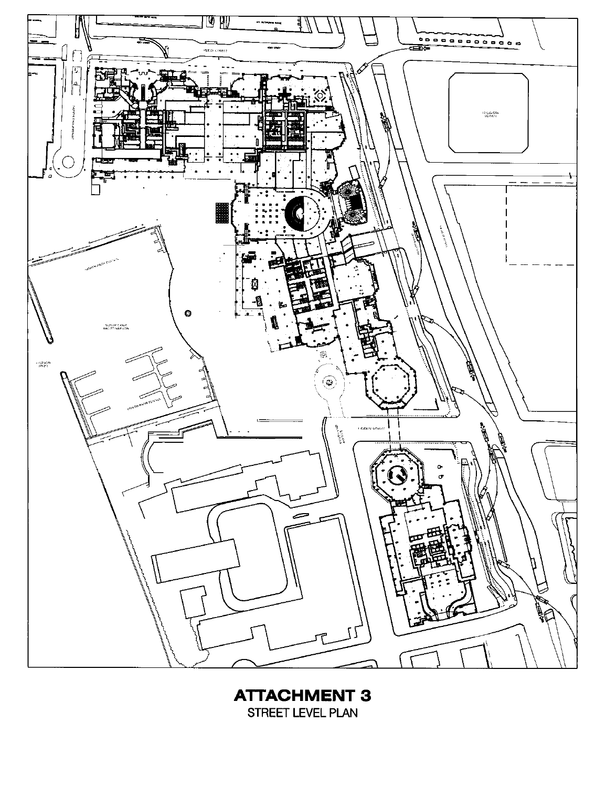